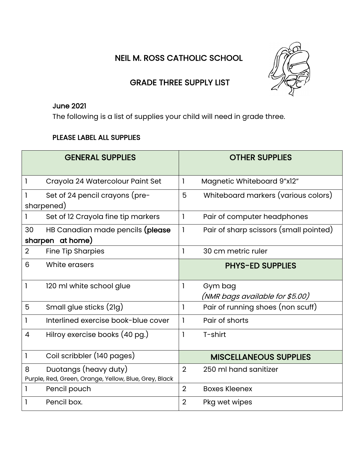NEIL M. ROSS CATHOLIC SCHOOL



## GRADE THREE SUPPLY LIST

## June 2021

The following is a list of supplies your child will need in grade three.

## PLEASE LABEL ALL SUPPLIES

|                | <b>GENERAL SUPPLIES</b>                                                        |                | <b>OTHER SUPPLIES</b>                      |
|----------------|--------------------------------------------------------------------------------|----------------|--------------------------------------------|
| 1              | Crayola 24 Watercolour Paint Set                                               | 1              | Magnetic Whiteboard 9"x12"                 |
|                | Set of 24 pencil crayons (pre-<br>sharpened)                                   | 5              | Whiteboard markers (various colors)        |
|                | Set of 12 Crayola fine tip markers                                             | $\mathbf{I}$   | Pair of computer headphones                |
| 30             | HB Canadian made pencils (please<br>sharpen at home)                           | 1              | Pair of sharp scissors (small pointed)     |
| $\overline{2}$ | <b>Fine Tip Sharpies</b>                                                       |                | 30 cm metric ruler                         |
| 6              | White erasers                                                                  |                | <b>PHYS-ED SUPPLIES</b>                    |
| 1              | 120 ml white school glue                                                       |                | Gym bag<br>(NMR bags available for \$5.00) |
| 5              | Small glue sticks (2lg)                                                        | 1              | Pair of running shoes (non scuff)          |
|                | Interlined exercise book-blue cover                                            |                | Pair of shorts                             |
| 4              | Hilroy exercise books (40 pg.)                                                 |                | T-shirt                                    |
| 1              | Coil scribbler (140 pages)                                                     |                | <b>MISCELLANEOUS SUPPLIES</b>              |
| 8              | Duotangs (heavy duty)<br>Purple, Red, Green, Orange, Yellow, Blue, Grey, Black | $\overline{2}$ | 250 ml hand sanitizer                      |
|                | Pencil pouch                                                                   | $\overline{2}$ | <b>Boxes Kleenex</b>                       |
|                | Pencil box.                                                                    | $\overline{2}$ | Pkg wet wipes                              |